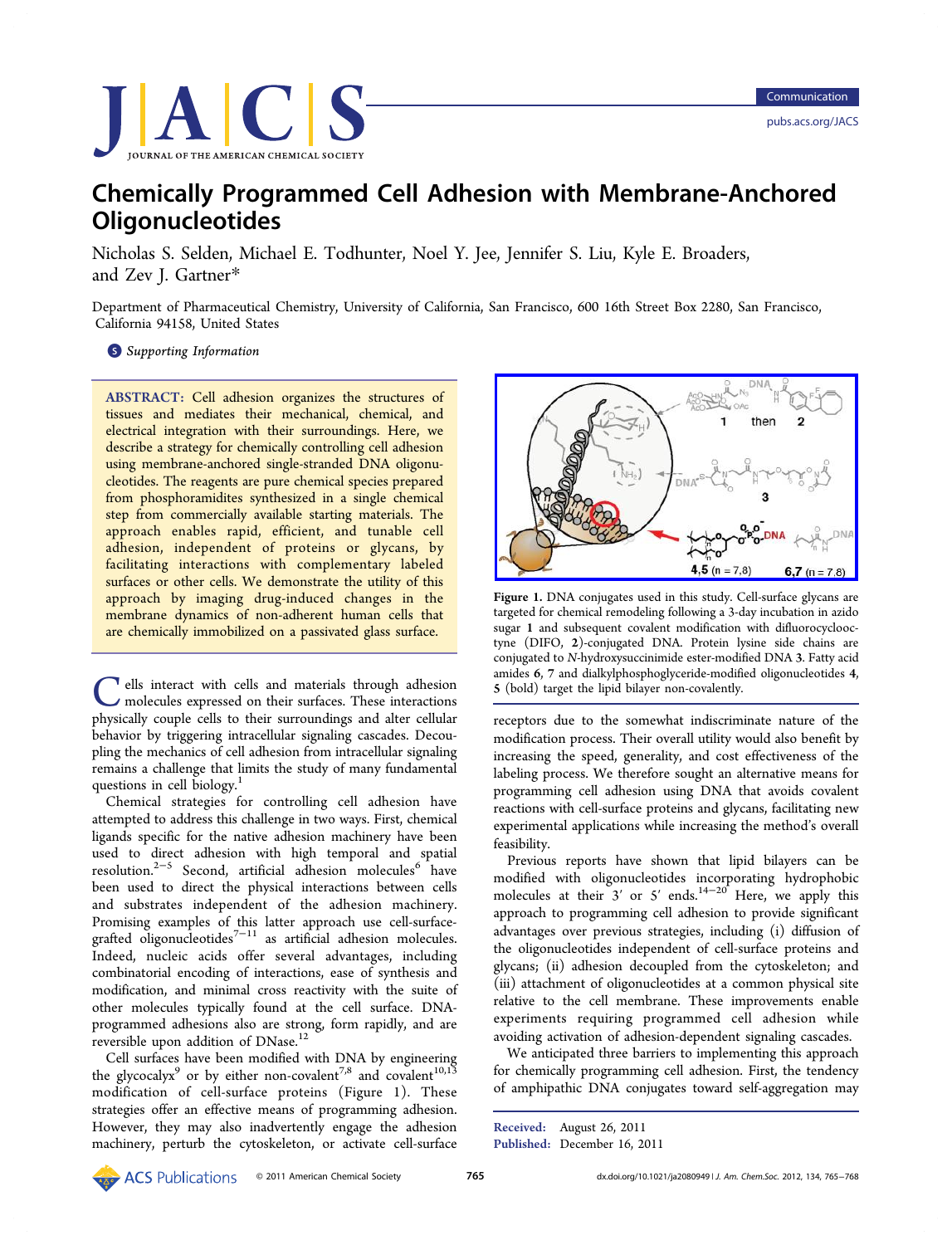

# Chemically Programmed Cell Adhesion with Membrane-Anchored **Oligonucleotides**

Nicholas S. Selden, Michael E. Todhunter, Noel Y. Jee, Jennifer S. Liu, Kyle E. Broaders, and Zev J. Gartner\*

Department of Pharma[ceu](#page-3-0)tical Chemistry, University of California, San Francisco, 600 16th Street Box 2280, San Francisco, California 94158, United States

## **S** Supporting Information

[AB](#page-3-0)STRACT: [Cell](#page-3-0) [adhesion](#page-3-0) organizes the structures of tissues and mediates their mechanical, chemical, and electrical integration with their surroundings. Here, we describe a strategy for chemically controlling cell adhesion using membrane-anchored single-stranded DNA oligonucleotides. The reagents are pure chemical species prepared from phosphoramidites synthesized in a single chemical step from commercially available starting materials. The approach enables rapid, efficient, and tunable cell adhesion, independent of proteins or glycans, by facilitating interactions with complementary labeled surfaces or other cells. We demonstrate the utility of this approach by imaging drug-induced changes in the membrane dynamics of non-adherent human cells that are chemically immobilized on a passivated glass surface.

Cells interact with cells and materials through adhesion<br>molecules expressed on their surfaces. These interactions<br>moleculus cells to their surroundings and alter cellular physically couple cells to their surroundings and alter cellular behavior by triggering intracellular signaling cascades. Decoupling the mechanics of cell adhesion from intracellular signaling remains a challenge that limits the study of many fundamental questions in cell biology.<sup>1</sup>

Chemical strategies for controlling cell adhesion have attempted to address this [c](#page-3-0)hallenge in two ways. First, chemical ligands specific for the native adhesion machinery have been used to direct adhesion with high temporal and spatial resolution.<sup>2−5</sup> Second, artificial adhesion molecules<sup>6</sup> have been used to direct the physical interactions between cells and subs[tr](#page-3-0)a[te](#page-3-0)s independent of the adhesion ma[ch](#page-3-0)inery. Promising examples of this latter approach use cell-surfacegrafted oligonucleotides<sup>7-11</sup> as artificial adhesion molecules. Indeed, nucleic acids offer several advantages, including combinatorial encoding [of i](#page-3-0)nteractions, ease of synthesis and modification, and minimal cross reactivity with the suite of other molecules typically found at the cell surface. DNAprogrammed adhesions also are strong, form rapidly, and are reversible upon addition of DNase.<sup>12</sup>

Cell surfaces have been modified with DNA by engineering the glycocalyx<sup>9</sup> or by either non-c[ov](#page-3-0)alent<sup>7,8</sup> and covalent<sup>10,13</sup> modification of cell-surface proteins (Figure 1). These strategies offe[r](#page-3-0) an effective means of pro[gra](#page-3-0)mming adhe[sion.](#page-3-0) However, they may also inadvertently engage the adhesion machinery, perturb the cytoskeleton, or activate cell-surface



Figure 1. [DNA conjugates used in this study. Cell-surface glycans ar](http://pubs.acs.org/action/showImage?doi=10.1021/ja2080949&iName=master.img-000.jpg&w=233&h=130)e targeted for chemical remodeling following a 3-day incubation in azido sugar 1 and subsequent covalent modification with difluorocyclooctyne (DIFO, 2)-conjugated DNA. Protein lysine side chains are conjugated to N-hydroxysuccinimide ester-modified DNA 3. Fatty acid amides 6, 7 and dialkylphosphoglyceride-modified oligonucleotides 4, 5 (bold) target the lipid bilayer non-covalently.

receptors due to the somewhat indiscriminate nature of the modification process. Their overall utility would also benefit by increasing the speed, generality, and cost effectiveness of the labeling process. We therefore sought an alternative means for programming cell adhesion using DNA that avoids covalent reactions with cell-surface proteins and glycans, facilitating new experimental applications while increasing the method's overall feasibility.

Previous reports have shown that lipid bilayers can be modified with oligonucleotides incorporating hydrophobic molecules at their  $3'$  or  $5'$  ends.<sup>14-20</sup> Here, we apply this approach to programming cell adhesion to provide significant advantages over previous strategie[s,](#page-3-0) i[nc](#page-3-0)luding (i) diffusion of the oligonucleotides independent of cell-surface proteins and glycans; (ii) adhesion decoupled from the cytoskeleton; and (iii) attachment of oligonucleotides at a common physical site relative to the cell membrane. These improvements enable experiments requiring programmed cell adhesion while avoiding activation of adhesion-dependent signaling cascades.

We anticipated three barriers to implementing this approach for chemically programming cell adhesion. First, the tendency of amphipathic DNA conjugates toward self-aggregation may

Received: August 26, 2011 Published: December 16, 2011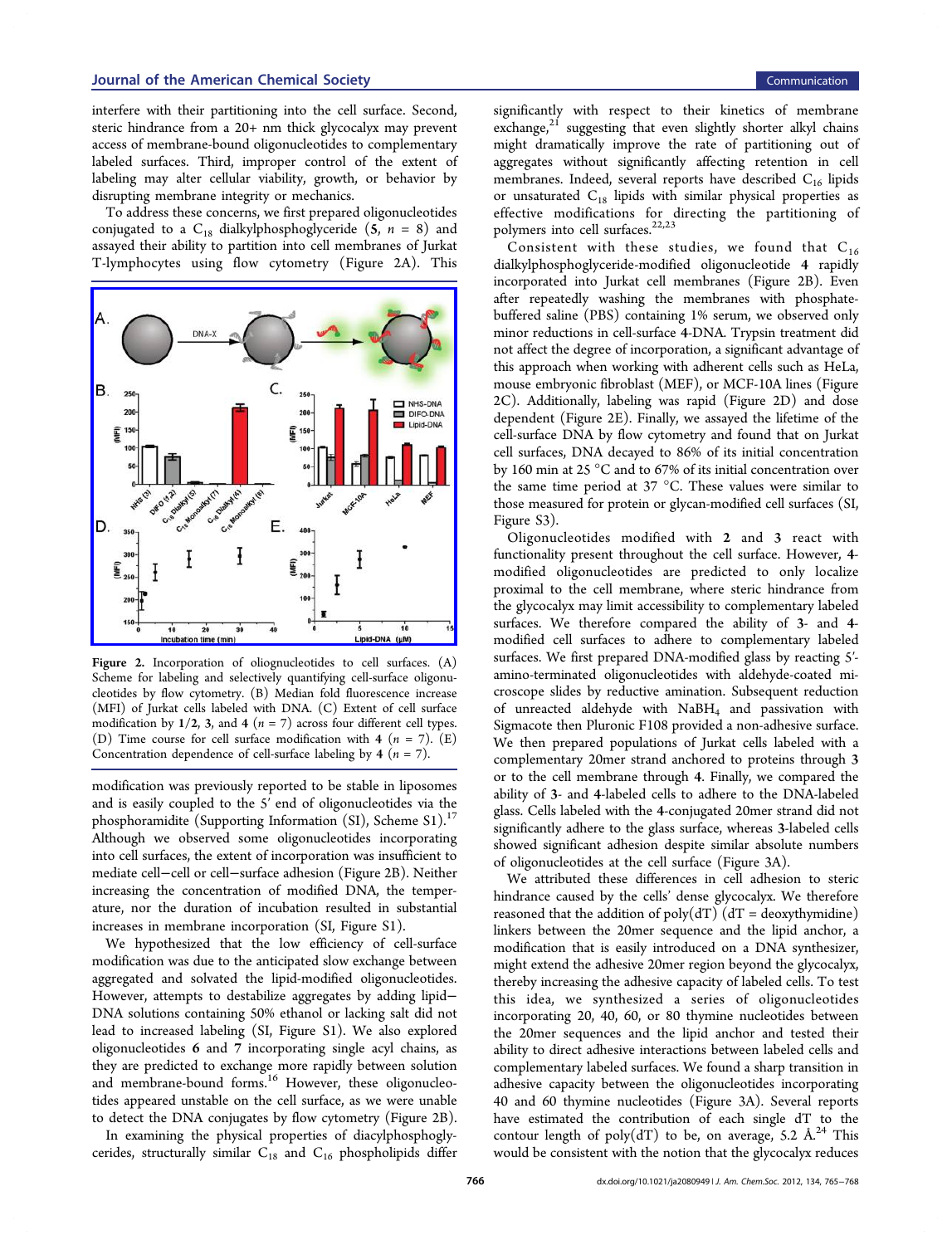interfere with their partitioning into the cell surface. Second, steric hindrance from a 20+ nm thick glycocalyx may prevent access of membrane-bound oligonucleotides to complementary labeled surfaces. Third, improper control of the extent of labeling may alter cellular viability, growth, or behavior by disrupting membrane integrity or mechanics.

To address these concerns, we first prepared oligonucleotides conjugated to a  $C_{18}$  dialkylphosphoglyceride (5,  $n = 8$ ) and assayed their ability to partition into cell membranes of Jurkat T-lymphocytes using flow cytometry (Figure 2A). This



Figure 2. [Incorporation of oliognucleotides to cell surfaces. \(A\)](http://pubs.acs.org/action/showImage?doi=10.1021/ja2080949&iName=master.img-001.jpg&w=234&h=230) Scheme for labeling and selectively quantifying cell-surface oligonucleotides by flow cytometry. (B) Median fold fluorescence increase (MFI) of Jurkat cells labeled with DNA. (C) Extent of cell surface modification by  $1/2$ , 3, and 4 ( $n = 7$ ) across four different cell types. (D) Time course for cell surface modification with 4 ( $n = 7$ ). (E) Concentration dependence of cell-surface labeling by 4 ( $n = 7$ ).

modification was previously reported to be stable in liposomes and is easily coupled to the 5′ end of oligonucleotides via the phosphoramidite (Supporting Information (SI), Scheme S1).<sup>17</sup> Although we observed some oligonucleotides incorporating into cell surfaces, t[he extent of incorporation was insufficien](#page-3-0)t [to](#page-3-0) mediate cell−cell or cell−surface adhesion (Figure 2B). Neither increasing the concentration of modified DNA, the temperature, nor the duration of incubation resulted in substantial increases in membrane incorporation (SI, Figure S1).

We hypothesized that the low efficiency of cell-surface modification was due to the anticipated [slow exchang](#page-3-0)e between aggregated and solvated the lipid-modified oligonucleotides. However, attempts to destabilize aggregates by adding lipid− DNA solutions containing 50% ethanol or lacking salt did not lead to increased labeling (SI, Figure S1). We also explored oligonucleotides 6 and 7 incorporating single acyl chains, as they are predicted to excha[nge more rapid](#page-3-0)ly between solution and membrane-bound forms.<sup>16</sup> However, these oligonucleotides appeared unstable on the cell surface, as we were unable to detect the DNA conjugate[s b](#page-3-0)y flow cytometry (Figure 2B).

In examining the physical properties of diacylphosphoglycerides, structurally similar  $C_{18}$  and  $C_{16}$  phospholipids differ significantly with respect to their kinetics of membrane exchange, $2^1$  suggesting that even slightly shorter alkyl chains might dramatically improve the rate of partitioning out of aggregate[s](#page-3-0) without significantly affecting retention in cell membranes. Indeed, several reports have described  $C_{16}$  lipids or unsaturated  $C_{18}$  lipids with similar physical properties as effective modifications for directing the partitioning of polymers into cell surfaces.<sup>22,23</sup>

Consistent with these studies, we found that  $C_{16}$ dialkylphosphoglyceride-m[odifi](#page-3-0)ed oligonucleotide 4 rapidly incorporated into Jurkat cell membranes (Figure 2B). Even after repeatedly washing the membranes with phosphatebuffered saline (PBS) containing 1% serum, we observed only minor reductions in cell-surface 4-DNA. Trypsin treatment did not affect the degree of incorporation, a significant advantage of this approach when working with adherent cells such as HeLa, mouse embryonic fibroblast (MEF), or MCF-10A lines (Figure 2C). Additionally, labeling was rapid (Figure 2D) and dose dependent (Figure 2E). Finally, we assayed the lifetime of the cell-surface DNA by flow cytometry and found that on Jurkat cell surfaces, DNA decayed to 86% of its initial concentration by 160 min at 25 °C and to 67% of its initial concentration over the same time period at 37 °C. These values were similar to those measured for protein or glycan-modified cell surfaces (SI, Figure S3).

Oligonucleotides modified with 2 and 3 react w[ith](#page-3-0) [functional](#page-3-0)ity present throughout the cell surface. However, 4 modified oligonucleotides are predicted to only localize proximal to the cell membrane, where steric hindrance from the glycocalyx may limit accessibility to complementary labeled surfaces. We therefore compared the ability of 3- and 4 modified cell surfaces to adhere to complementary labeled surfaces. We first prepared DNA-modified glass by reacting 5′ amino-terminated oligonucleotides with aldehyde-coated microscope slides by reductive amination. Subsequent reduction of unreacted aldehyde with  $NaBH<sub>4</sub>$  and passivation with Sigmacote then Pluronic F108 provided a non-adhesive surface. We then prepared populations of Jurkat cells labeled with a complementary 20mer strand anchored to proteins through 3 or to the cell membrane through 4. Finally, we compared the ability of 3- and 4-labeled cells to adhere to the DNA-labeled glass. Cells labeled with the 4-conjugated 20mer strand did not significantly adhere to the glass surface, whereas 3-labeled cells showed significant adhesion despite similar absolute numbers of oligonucleotides at the cell surface (Figure 3A).

We attributed these differences in cell adhesion to steric hindrance caused by the cells' dense glycocal[yx](#page-2-0). We therefore reasoned that the addition of  $poly(dT)$   $(dT = desxythymidine)$ linkers between the 20mer sequence and the lipid anchor, a modification that is easily introduced on a DNA synthesizer, might extend the adhesive 20mer region beyond the glycocalyx, thereby increasing the adhesive capacity of labeled cells. To test this idea, we synthesized a series of oligonucleotides incorporating 20, 40, 60, or 80 thymine nucleotides between the 20mer sequences and the lipid anchor and tested their ability to direct adhesive interactions between labeled cells and complementary labeled surfaces. We found a sharp transition in adhesive capacity between the oligonucleotides incorporating 40 and 60 thymine nucleotides (Figure 3A). Several reports have estimated the contribution of each single dT to the contour length of poly(dT) to be, on a[ve](#page-2-0)rage, 5.2  $\AA$ <sup>24</sup> This would be consistent with the notion that the glycocalyx reduces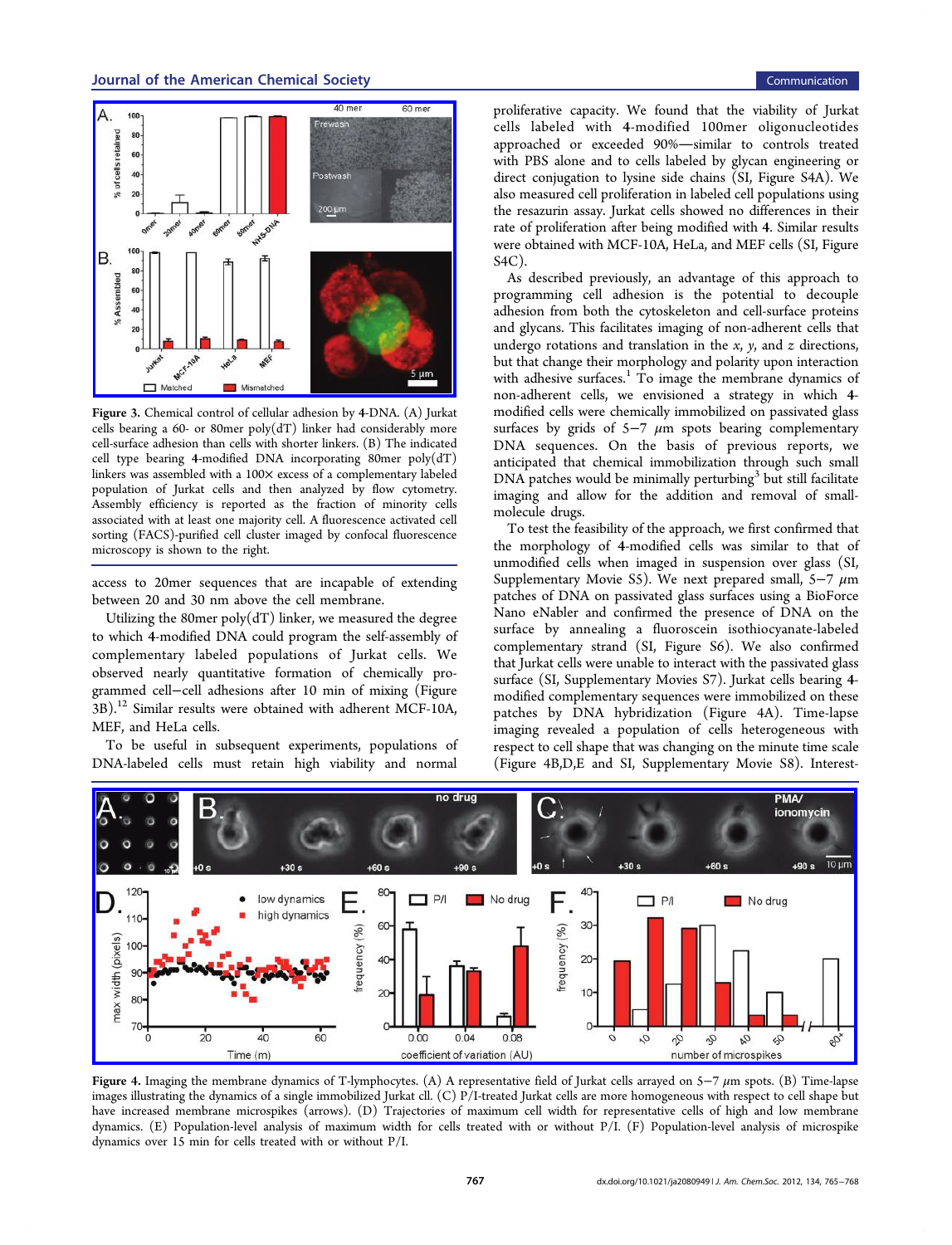<span id="page-2-0"></span>

Figure 3. Chemical control of cellular adhesion by 4-DNA. (A) Jurkat cells bearing a 60- or 80 mer poly $(dT)$  linker had considerably more cell-surface adhesion than cells with shorter linkers. (B) The indicated cell type bearing 4-modified DNA incorporating 80mer poly(dT) linkers was assembled with a 100× excess of a complementary labeled population of Jurkat cells and then analyzed by flow cytometry. Assembly efficiency is reported as the fraction of minority cells associated with at least one majority cell. A fluorescence activated cell sorting (FACS)-purified cell cluster imaged by confocal fluorescence microscopy is shown to the right.

access to 20mer sequences that are incapable of extending between 20 and 30 nm above the cell membrane.

Utilizing the 80mer poly(dT) linker, we measured the degree to which 4-modified DNA could program the self-assembly of complementary labeled populations of Jurkat cells. We observed nearly quantitative formation of chemically programmed cell−cell adhesions after 10 min of mixing (Figure 3B).<sup>12</sup> Similar results were obtained with adherent MCF-10A, MEF, and HeLa cells.

T[o](#page-3-0) be useful in subsequent experiments, populations of DNA-labeled cells must retain high viability and normal

proliferative capacity. We found that the viability of Jurkat cells labeled with 4-modified 100mer oligonucleotides approached or exceeded 90%-similar to controls treated with PBS alone and to cells labeled by glycan engineering or direct conjugation to lysine side chains (SI, Figure S4A). We also measured cell proliferation in labeled cell populations using the resazurin assay. Jurkat cells showed n[o differences in](#page-3-0) their rate of proliferation after being modified with 4. Similar results were obtained with MCF-10A, HeLa, and MEF cells (SI, Figure S4C).

As described previously, an advantage of this ap[proach to](#page-3-0) [prog](#page-3-0)ramming cell adhesion is the potential to decouple adhesion from both the cytoskeleton and cell-surface proteins and glycans. This facilitates imaging of non-adherent cells that undergo rotations and translation in the  $x$ ,  $y$ , and  $z$  directions, but that change their morphology and polarity upon interaction with adhesive surfaces.<sup>1</sup> To image the membrane dynamics of non-adherent cells, we envisioned a strategy in which 4 modified cells were ch[em](#page-3-0)ically immobilized on passivated glass surfaces by grids of  $5-7 \mu m$  spots bearing complementary DNA sequences. On the basis of previous reports, we anticipated that chemical immobilization through such small  $DNA$  patches would be minimally perturbing $3$  but still facilitate imaging and allow for the addition and removal of smallmolecule drugs.

To test the feasibility of the approach, we first confirmed that the morphology of 4-modified cells was similar to that of unmodified cells when imaged in suspension over glass (SI, Supplementary Movie S5). We next prepared small, 5-7  $\mu$ m patches of DNA on passivated glass surfaces using a BioFo[rce](#page-3-0) [Nano eNabler and confir](#page-3-0)med the presence of DNA on the surface by annealing a fluoroscein isothiocyanate-labeled complementary strand (SI, Figure S6). We also confirmed that Jurkat cells were unable to interact with the passivated glass surface (SI, Supplementa[ry Movies S7\).](#page-3-0) Jurkat cells bearing 4 modified complementary sequences were immobilized on these patches [by DNA hybridization \(F](#page-3-0)igure 4A). Time-lapse imaging revealed a population of cells heterogeneous with respect to cell shape that was changing on the minute time scale (Figure 4B,D,E and SI, Supplementary Movie S8). Interest-



Figure 4. Imaging the membrane dynamics of T-lymphocytes. (A) A representative field of Jurkat cells arrayed on 5-7  $\mu$ m spots. (B) Time-lapse i[mages illustrating the dynamics of a single immobilized Jurkat cll. \(C\) P/I-treated Jurkat cells are more homogeneous with respect to cell shape bu](http://pubs.acs.org/action/showImage?doi=10.1021/ja2080949&iName=master.img-003.jpg&w=497&h=176)t have increased membrane microspikes (arrows). (D) Trajectories of maximum cell width for representative cells of high and low membrane dynamics. (E) Population-level analysis of maximum width for cells treated with or without P/I. (F) Population-level analysis of microspike dynamics over 15 min for cells treated with or without P/I.